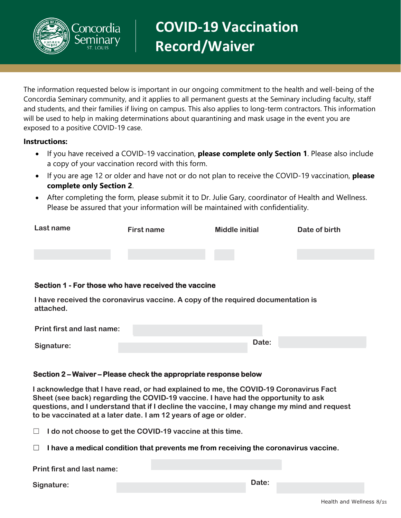# <u>oncordia</u>

**COVID-19 Vaccination Record/Waiver**

The information requested below is important in our ongoing commitment to the health and well-being of the Concordia Seminary community, and it applies to all permanent guests at the Seminary including faculty, staff and students, and their families if living on campus. This also applies to long-term contractors. This information will be used to help in making determinations about quarantining and mask usage in the event you are exposed to a positive COVID-19 case.

## **Instructions:**

- If you have received a COVID-19 vaccination, **please complete only Section 1**. Please also include a copy of your vaccination record with this form.
- If you are age 12 or older and have not or do not plan to receive the COVID-19 vaccination, **please complete only Section 2**.
- After completing the form, please submit it to Dr. Julie Gary, coordinator of Health and Wellness. Please be assured that your information will be maintained with confidentiality.

| Last name | First name | <b>Middle initial</b> | Date of birth |
|-----------|------------|-----------------------|---------------|
|           |            |                       |               |
|           |            |                       |               |

# **Section 1 - For those who have received the vaccine**

**I have received the coronavirus vaccine. A copy of the required documentation is attached.**

| <b>Print first and last name:</b> |       |
|-----------------------------------|-------|
|                                   | Date: |
| Signature:                        |       |

# **Section 2 – Waiver – Please check the appropriate response below**

**I acknowledge that I have read, or had explained to me, the COVID-19 Coronavirus Fact Sheet (see back) regarding the COVID-19 vaccine. I have had the opportunity to ask questions, and I understand that if I decline the vaccine, I may change my mind and request to be vaccinated at a later date. I am 12 years of age or older.** 

☐ **I do not choose to get the COVID-19 vaccine at this time.**

☐ **I have a medical condition that prevents me from receiving the coronavirus vaccine.**

**Print first and last name:** 

**Signature: Date:**